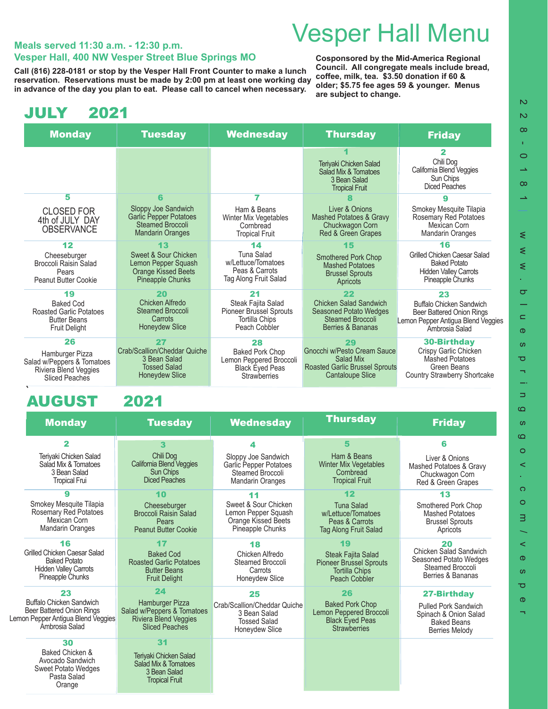# Vesper Hall Menu **Meals served 11:30 a.m. - 12:30 p.m.**

## **Vesper Hall, 400 NW Vesper Street Blue Springs MO**

Call (816) 228-0181 or stop by the Vesper Hall Front Counter to make a lunch <sup>Counter</sup>n. An congregate mears include t<br>reservation , Reservations must be made by 2:00 pm at least one working day, <sup>COffee, milk, tea. \$3.50 </sup> **reservation. Reservations must be made by 2:00 pm at least one working day in advance of the day you plan to eat. Please call to cancel when necessary.** 

**Cosponsored by the Mid-America Regional Council. All congregate meals include bread, older; \$5.75 fee ages 59 & younger. Menus are subject to change.**

### JULY 2021

| <b>Monday</b>                                                                                     | <b>Tuesday</b>                                                                                       | <b>Wednesday</b>                                                                                   | <b>Thursday</b>                                                                                              | <b>Friday</b>                                                                                                 |
|---------------------------------------------------------------------------------------------------|------------------------------------------------------------------------------------------------------|----------------------------------------------------------------------------------------------------|--------------------------------------------------------------------------------------------------------------|---------------------------------------------------------------------------------------------------------------|
|                                                                                                   |                                                                                                      |                                                                                                    | Teriyaki Chicken Salad<br>Salad Mix & Tomatoes<br>3 Bean Salad<br><b>Tropical Fruit</b>                      | 2<br>Chili Dog<br>California Blend Veggies<br>Sun Chips<br>Diced Peaches                                      |
| 5                                                                                                 | R                                                                                                    |                                                                                                    |                                                                                                              |                                                                                                               |
| <b>CLOSED FOR</b><br>4th of JULY DAY<br><b>OBSERVANCE</b>                                         | Sloppy Joe Sandwich<br><b>Garlic Pepper Potatoes</b><br>Steamed Broccoli<br><b>Mandarin Oranges</b>  | Ham & Beans<br>Winter Mix Vegetables<br>Cornbread<br><b>Tropical Fruit</b>                         | Liver & Onions<br><b>Mashed Potatoes &amp; Gravy</b><br>Chuckwagon Corn<br>Red & Green Grapes                | Smokey Mesquite Tilapia<br>Rosemary Red Potatoes<br>Mexican Corn<br><b>Mandarin Oranges</b>                   |
| 12                                                                                                | 13                                                                                                   | 14                                                                                                 | 15                                                                                                           | 16                                                                                                            |
| Cheeseburger<br>Broccoli Raisin Salad<br>Pears<br>Peanut Butter Cookie                            | Sweet & Sour Chicken<br>Lemon Pepper Squash<br><b>Orange Kissed Beets</b><br><b>Pineapple Chunks</b> | Tuna Salad<br>w/Lettuce/Tomatoes<br>Peas & Carrots<br>Tag Along Fruit Salad                        | <b>Smothered Pork Chop</b><br><b>Mashed Potatoes</b><br><b>Brussel Sprouts</b><br>Apricots                   | Grilled Chicken Caesar Salad<br><b>Baked Potato</b><br><b>Hidden Valley Carrots</b><br>Pineapple Chunks       |
| 19                                                                                                | 20<br>Chicken Alfredo                                                                                | 21                                                                                                 | 22                                                                                                           | 23                                                                                                            |
| <b>Baked Cod</b><br><b>Roasted Garlic Potatoes</b><br><b>Butter Beans</b><br><b>Fruit Delight</b> | Steamed Broccoli<br>Carrots<br><b>Honeydew Slice</b>                                                 | Steak Fajita Salad<br><b>Pioneer Brussel Sprouts</b><br>Tortilla Chips<br>Peach Cobbler            | Chicken Salad Sandwich<br><b>Seasoned Potato Wedges</b><br>Steamed Broccoli<br>Berries & Bananas             | Buffalo Chicken Sandwich<br>Beer Battered Onion Rings<br>Lemon Pepper Antigua Blend Veggies<br>Ambrosia Salad |
| 26                                                                                                | 27                                                                                                   | 28                                                                                                 | 29                                                                                                           | <b>30-Birthday</b>                                                                                            |
| Hamburger Pizza<br>Salad w/Peppers & Tomatoes<br>Riviera Blend Veggies<br><b>Sliced Peaches</b>   | Crab/Scallion/Cheddar Quiche<br>3 Bean Salad<br><b>Tossed Salad</b><br><b>Honeydew Slice</b>         | <b>Baked Pork Chop</b><br>Lemon Peppered Broccoli<br><b>Black Eyed Peas</b><br><b>Strawberries</b> | Gnocchi w/Pesto Cream Sauce<br>Salad Mix<br><b>Roasted Garlic Brussel Sprouts</b><br><b>Cantaloupe Slice</b> | Crispy Garlic Chicken<br><b>Mashed Potatoes</b><br>Green Beans<br>Country Strawberry Shortcake                |

### AUGUST 2021

|  | <b>Monday</b>                                                                                                 | <b>Tuesday</b>                                                                                    | <b>Wednesday</b>                                                                             | <b>Thursday</b>                                                                                       | <b>Friday</b>                                                                                       |
|--|---------------------------------------------------------------------------------------------------------------|---------------------------------------------------------------------------------------------------|----------------------------------------------------------------------------------------------|-------------------------------------------------------------------------------------------------------|-----------------------------------------------------------------------------------------------------|
|  | 2                                                                                                             | 3                                                                                                 | 4                                                                                            | 5                                                                                                     | R                                                                                                   |
|  | Teriyaki Chicken Salad<br>Salad Mix & Tomatoes<br>3 Bean Salad<br><b>Tropical Frui</b>                        | Chili Dog<br>California Blend Veggies<br><b>Sun Chips</b><br><b>Diced Peaches</b>                 | Sloppy Joe Sandwich<br>Garlic Pepper Potatoes<br>Steamed Broccoli<br><b>Mandarin Oranges</b> | Ham & Beans<br><b>Winter Mix Vegetables</b><br>Cornbread<br><b>Tropical Fruit</b>                     | Liver & Onions<br>Mashed Potatoes & Gravy<br>Chuckwagon Corn<br>Red & Green Grapes                  |
|  |                                                                                                               | 10                                                                                                | 11                                                                                           | 12                                                                                                    | 13                                                                                                  |
|  | Smokey Mesquite Tilapia<br>Rosemary Red Potatoes<br>Mexican Corn<br><b>Mandarin Oranges</b>                   | Cheeseburger<br><b>Broccoli Raisin Salad</b><br>Pears<br><b>Peanut Butter Cookie</b>              | Sweet & Sour Chicken<br>Lemon Pepper Squash<br>Orange Kissed Beets<br>Pineapple Chunks       | <b>Tuna Salad</b><br>w/Lettuce/Tomatoes<br>Peas & Carrots<br>Tag Along Fruit Salad                    | Smothered Pork Chop<br><b>Mashed Potatoes</b><br><b>Brussel Sprouts</b><br>Apricots                 |
|  | 16                                                                                                            | 17                                                                                                | 18                                                                                           | 19                                                                                                    | 20                                                                                                  |
|  | Grilled Chicken Caesar Salad<br><b>Baked Potato</b><br><b>Hidden Valley Carrots</b><br>Pineapple Chunks       | <b>Baked Cod</b><br><b>Roasted Garlic Potatoes</b><br><b>Butter Beans</b><br><b>Fruit Delight</b> | Chicken Alfredo<br>Steamed Broccoli<br>Carrots<br>Honeydew Slice                             | <b>Steak Fajita Salad</b><br><b>Pioneer Brussel Sprouts</b><br><b>Tortilla Chips</b><br>Peach Cobbler | Chicken Salad Sandwich<br>Seasoned Potato Wedges<br>Steamed Broccoli<br>Berries & Bananas           |
|  | 23                                                                                                            | 24                                                                                                | 25                                                                                           | 26                                                                                                    | <b>27-Birthday</b>                                                                                  |
|  | Buffalo Chicken Sandwich<br>Beer Battered Onion Rings<br>Lemon Pepper Antigua Blend Veggies<br>Ambrosia Salad | Hamburger Pizza<br>Salad w/Peppers & Tomatoes<br>Riviera Blend Veggies<br><b>Sliced Peaches</b>   | Crab/Scallion/Cheddar Quiche<br>3 Bean Salad<br><b>Tossed Salad</b><br>Honeydew Slice        | <b>Baked Pork Chop</b><br>Lemon Peppered Broccoli<br><b>Black Eyed Peas</b><br><b>Strawberries</b>    | <b>Pulled Pork Sandwich</b><br>Spinach & Onion Salad<br><b>Baked Beans</b><br><b>Berries Melody</b> |
|  | 30                                                                                                            | 31                                                                                                |                                                                                              |                                                                                                       |                                                                                                     |
|  | Baked Chicken &<br>Avocado Sandwich<br><b>Sweet Potato Wedges</b><br>Pasta Salad<br>Orange                    | Teriyaki Chicken Salad<br>Salad Mix & Tomatoes<br>3 Bean Salad<br><b>Tropical Fruit</b>           |                                                                                              |                                                                                                       |                                                                                                     |